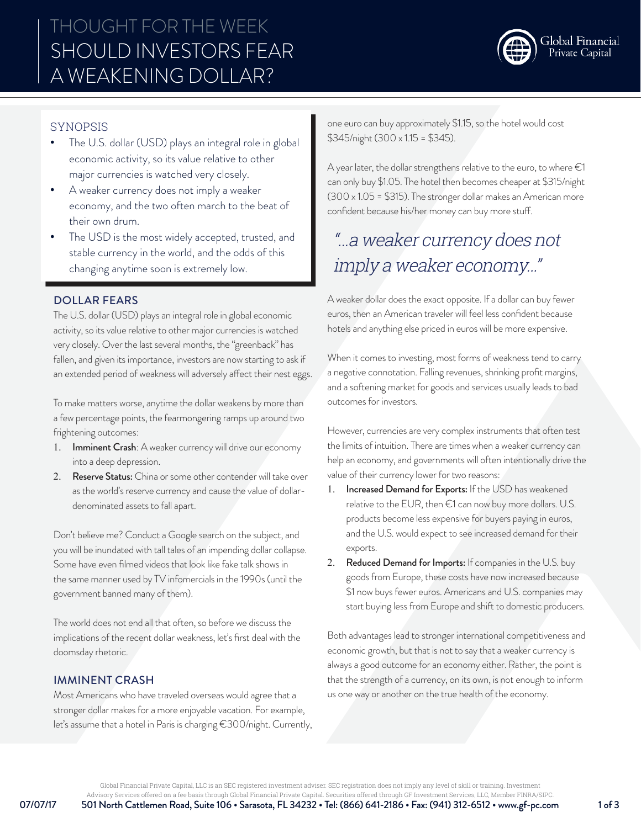

# SYNOPSIS

- The U.S. dollar (USD) plays an integral role in global economic activity, so its value relative to other major currencies is watched very closely.
- A weaker currency does not imply a weaker economy, and the two often march to the beat of their own drum.
- The USD is the most widely accepted, trusted, and stable currency in the world, and the odds of this changing anytime soon is extremely low.

### DOLLAR FEARS

The U.S. dollar (USD) plays an integral role in global economic activity, so its value relative to other major currencies is watched very closely. Over the last several months, the "greenback" has fallen, and given its importance, investors are now starting to ask if an extended period of weakness will adversely affect their nest eggs.

To make matters worse, anytime the dollar weakens by more than a few percentage points, the fearmongering ramps up around two frightening outcomes:

- 1. Imminent Crash: A weaker currency will drive our economy into a deep depression.
- 2. Reserve Status: China or some other contender will take over as the world's reserve currency and cause the value of dollardenominated assets to fall apart.

Don't believe me? Conduct a Google search on the subject, and you will be inundated with tall tales of an impending dollar collapse. Some have even filmed videos that look like fake talk shows in the same manner used by TV infomercials in the 1990s (until the government banned many of them).

The world does not end all that often, so before we discuss the implications of the recent dollar weakness, let's first deal with the doomsday rhetoric.

#### IMMINENT CRASH

Most Americans who have traveled overseas would agree that a stronger dollar makes for a more enjoyable vacation. For example, let's assume that a hotel in Paris is charging €300/night. Currently, one euro can buy approximately \$1.15, so the hotel would cost \$345/night (300 x 1.15 = \$345).

A year later, the dollar strengthens relative to the euro, to where  $\epsilon$ 1 can only buy \$1.05. The hotel then becomes cheaper at \$315/night (300 x 1.05 = \$315). The stronger dollar makes an American more confident because his/her money can buy more stuff.

# "…a weaker currency does not imply a weaker economy…"

A weaker dollar does the exact opposite. If a dollar can buy fewer euros, then an American traveler will feel less confident because hotels and anything else priced in euros will be more expensive.

When it comes to investing, most forms of weakness tend to carry a negative connotation. Falling revenues, shrinking profit margins, and a softening market for goods and services usually leads to bad outcomes for investors.

However, currencies are very complex instruments that often test the limits of intuition. There are times when a weaker currency can help an economy, and governments will often intentionally drive the value of their currency lower for two reasons:

- 1. Increased Demand for Exports: If the USD has weakened relative to the EUR, then €1 can now buy more dollars. U.S. products become less expensive for buyers paying in euros, and the U.S. would expect to see increased demand for their exports.
- 2. Reduced Demand for Imports: If companies in the U.S. buy goods from Europe, these costs have now increased because \$1 now buys fewer euros. Americans and U.S. companies may start buying less from Europe and shift to domestic producers.

Both advantages lead to stronger international competitiveness and economic growth, but that is not to say that a weaker currency is always a good outcome for an economy either. Rather, the point is that the strength of a currency, on its own, is not enough to inform us one way or another on the true health of the economy.

Global Financial Private Capital, LLC is an SEC registered investment adviser. SEC registration does not imply any level of skill or training. Investment

07/07/17 501 North Cattlemen Road, Suite 106 • Sarasota, FL 34232 • Tel: (866) 641-2186 • Fax: (941) 312-6512 • www.gf-pc.com 1 of 3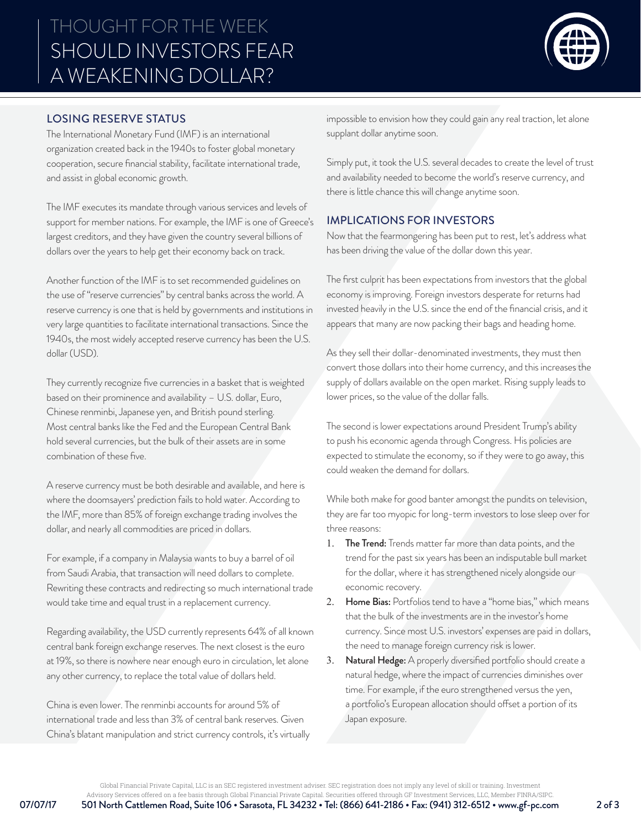

### LOSING RESERVE STATUS

The International Monetary Fund (IMF) is an international organization created back in the 1940s to foster global monetary cooperation, secure financial stability, facilitate international trade, and assist in global economic growth.

The IMF executes its mandate through various services and levels of support for member nations. For example, the IMF is one of Greece's largest creditors, and they have given the country several billions of dollars over the years to help get their economy back on track.

Another function of the IMF is to set recommended guidelines on the use of "reserve currencies" by central banks across the world. A reserve currency is one that is held by governments and institutions in very large quantities to facilitate international transactions. Since the 1940s, the most widely accepted reserve currency has been the U.S. dollar (USD).

They currently recognize five currencies in a basket that is weighted based on their prominence and availability – U.S. dollar, Euro, Chinese renminbi, Japanese yen, and British pound sterling. Most central banks like the Fed and the European Central Bank hold several currencies, but the bulk of their assets are in some combination of these five.

A reserve currency must be both desirable and available, and here is where the doomsayers' prediction fails to hold water. According to the IMF, more than 85% of foreign exchange trading involves the dollar, and nearly all commodities are priced in dollars.

For example, if a company in Malaysia wants to buy a barrel of oil from Saudi Arabia, that transaction will need dollars to complete. Rewriting these contracts and redirecting so much international trade would take time and equal trust in a replacement currency.

Regarding availability, the USD currently represents 64% of all known central bank foreign exchange reserves. The next closest is the euro at 19%, so there is nowhere near enough euro in circulation, let alone any other currency, to replace the total value of dollars held.

China is even lower. The renminbi accounts for around 5% of international trade and less than 3% of central bank reserves. Given China's blatant manipulation and strict currency controls, it's virtually impossible to envision how they could gain any real traction, let alone supplant dollar anytime soon.

Simply put, it took the U.S. several decades to create the level of trust and availability needed to become the world's reserve currency, and there is little chance this will change anytime soon.

# IMPLICATIONS FOR INVESTORS

Now that the fearmongering has been put to rest, let's address what has been driving the value of the dollar down this year.

The first culprit has been expectations from investors that the global economy is improving. Foreign investors desperate for returns had invested heavily in the U.S. since the end of the financial crisis, and it appears that many are now packing their bags and heading home.

As they sell their dollar-denominated investments, they must then convert those dollars into their home currency, and this increases the supply of dollars available on the open market. Rising supply leads to lower prices, so the value of the dollar falls.

The second is lower expectations around President Trump's ability to push his economic agenda through Congress. His policies are expected to stimulate the economy, so if they were to go away, this could weaken the demand for dollars.

While both make for good banter amongst the pundits on television, they are far too myopic for long-term investors to lose sleep over for three reasons:

- 1. The Trend: Trends matter far more than data points, and the trend for the past six years has been an indisputable bull market for the dollar, where it has strengthened nicely alongside our economic recovery.
- 2. Home Bias: Portfolios tend to have a "home bias," which means that the bulk of the investments are in the investor's home currency. Since most U.S. investors' expenses are paid in dollars, the need to manage foreign currency risk is lower.
- 3. Natural Hedge: A properly diversified portfolio should create a natural hedge, where the impact of currencies diminishes over time. For example, if the euro strengthened versus the yen, a portfolio's European allocation should offset a portion of its Japan exposure.

Global Financial Private Capital, LLC is an SEC registered investment adviser. SEC registration does not imply any level of skill or training. Investment